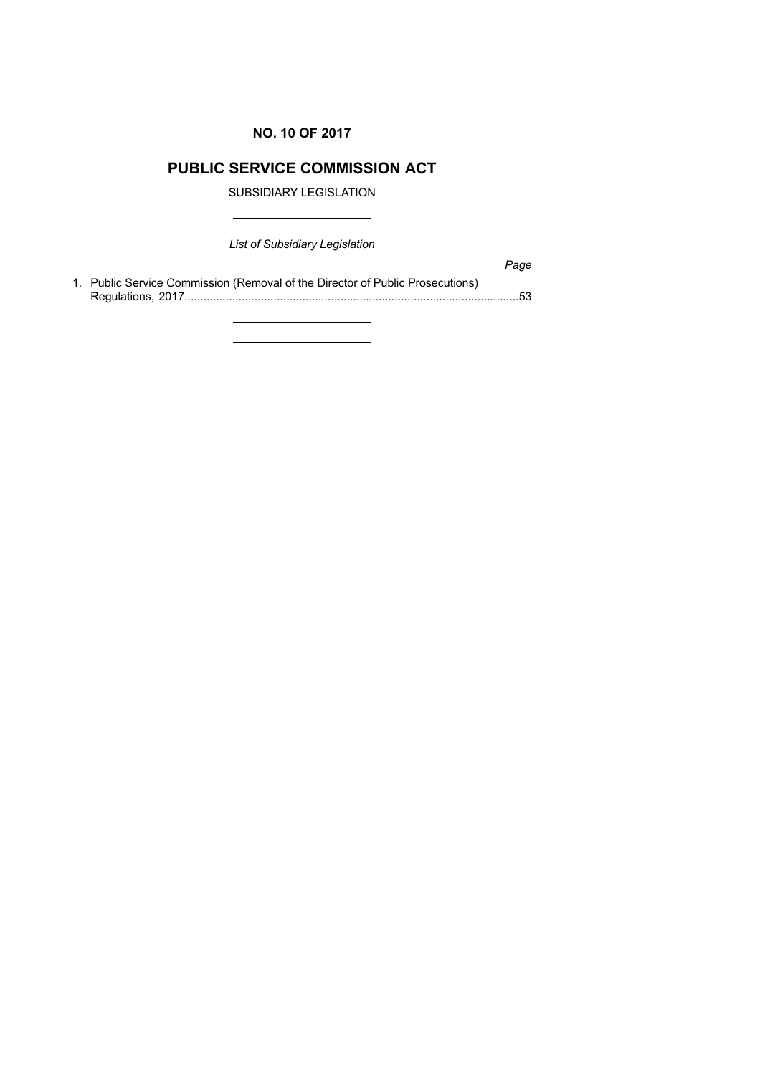# **NO. 10 OF 2017**

# **PUBLIC SERVICE COMMISSION ACT**

SUBSIDIARY LEGISLATION

*List of Subsidiary Legislation*

*Page*

1. Public Service Commission (Removal of the Director of Public Prosecutions) Regulations, 2017.........................................................................................................53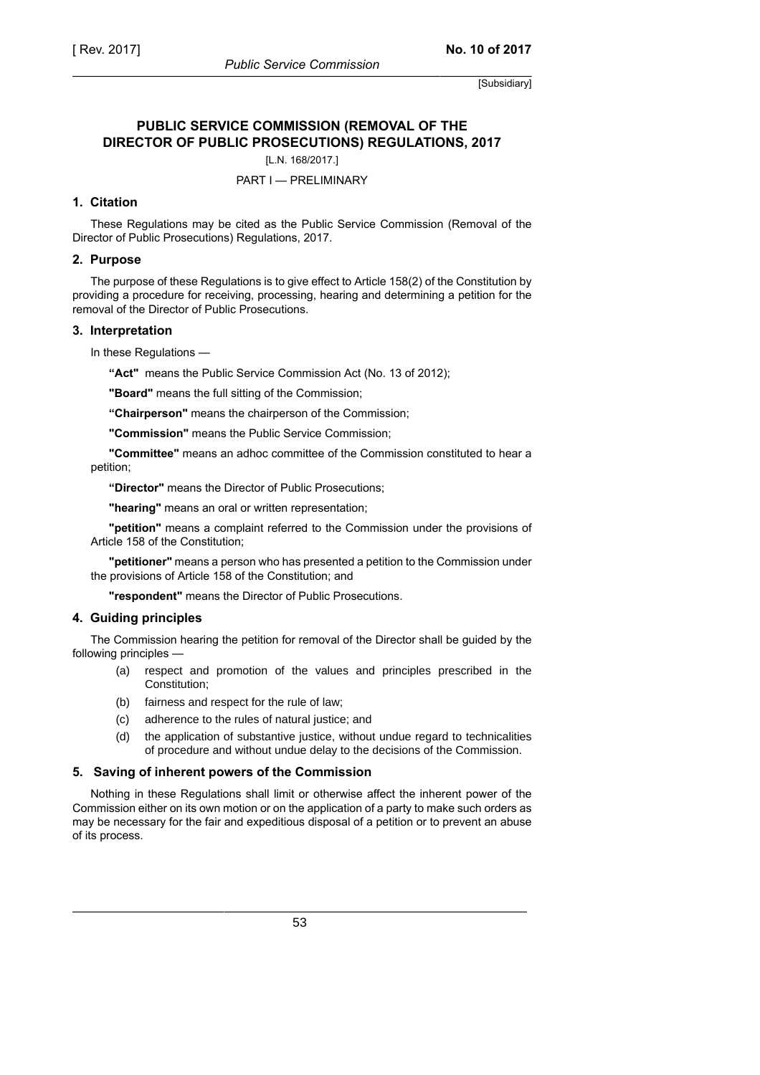# **PUBLIC SERVICE COMMISSION (REMOVAL OF THE DIRECTOR OF PUBLIC PROSECUTIONS) REGULATIONS, 2017**

[L.N. 168/2017.]

#### PART I — PRELIMINARY

### **1. Citation**

These Regulations may be cited as the Public Service Commission (Removal of the Director of Public Prosecutions) Regulations, 2017.

### **2. Purpose**

The purpose of these Regulations is to give effect to Article 158(2) of the Constitution by providing a procedure for receiving, processing, hearing and determining a petition for the removal of the Director of Public Prosecutions.

#### **3. Interpretation**

In these Regulations —

**"Act"** means the Public Service Commission Act (No. 13 of 2012);

**"Board"** means the full sitting of the Commission;

**"Chairperson"** means the chairperson of the Commission;

**"Commission"** means the Public Service Commission;

**"Committee"** means an adhoc committee of the Commission constituted to hear a petition;

**"Director"** means the Director of Public Prosecutions;

**"hearing"** means an oral or written representation;

**"petition"** means a complaint referred to the Commission under the provisions of Article 158 of the Constitution;

**"petitioner"** means a person who has presented a petition to the Commission under the provisions of Article 158 of the Constitution; and

**"respondent"** means the Director of Public Prosecutions.

### **4. Guiding principles**

The Commission hearing the petition for removal of the Director shall be guided by the following principles —

- (a) respect and promotion of the values and principles prescribed in the Constitution;
- (b) fairness and respect for the rule of law;
- (c) adherence to the rules of natural justice; and
- (d) the application of substantive justice, without undue regard to technicalities of procedure and without undue delay to the decisions of the Commission.

#### **5. Saving of inherent powers of the Commission**

Nothing in these Regulations shall limit or otherwise affect the inherent power of the Commission either on its own motion or on the application of a party to make such orders as may be necessary for the fair and expeditious disposal of a petition or to prevent an abuse of its process.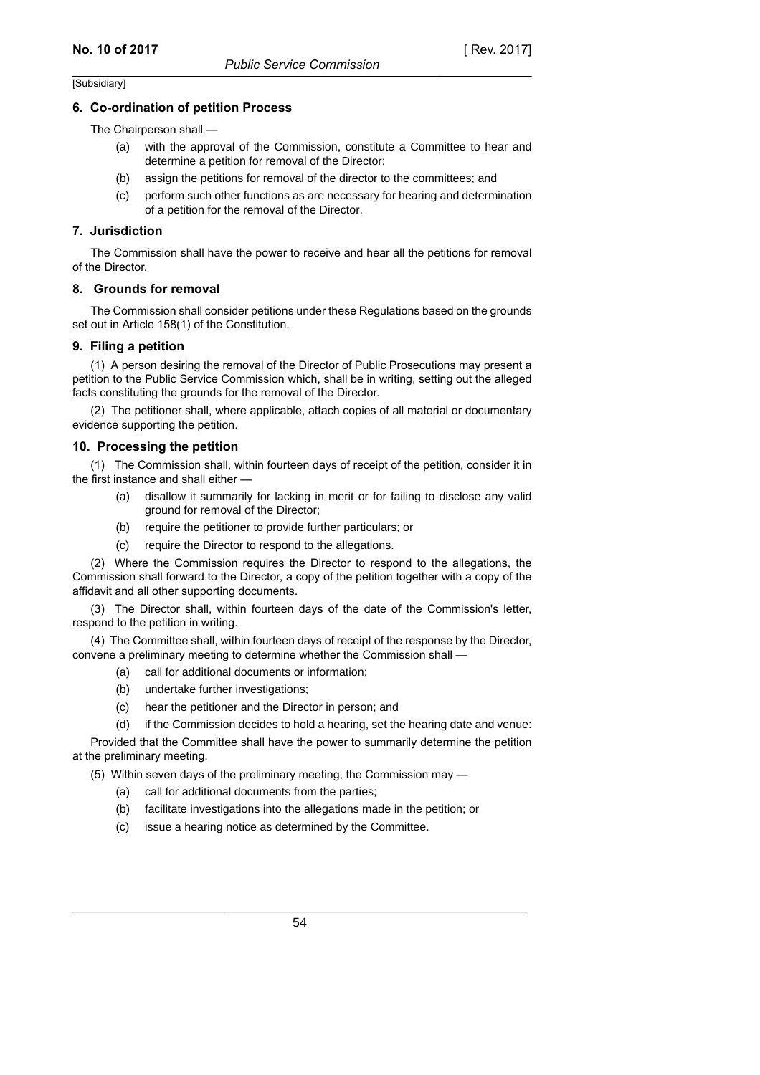### **6. Co-ordination of petition Process**

The Chairperson shall —

- (a) with the approval of the Commission, constitute a Committee to hear and determine a petition for removal of the Director;
- (b) assign the petitions for removal of the director to the committees; and
- (c) perform such other functions as are necessary for hearing and determination of a petition for the removal of the Director.

### **7. Jurisdiction**

The Commission shall have the power to receive and hear all the petitions for removal of the Director.

#### **8. Grounds for removal**

The Commission shall consider petitions under these Regulations based on the grounds set out in Article 158(1) of the Constitution.

#### **9. Filing a petition**

(1) A person desiring the removal of the Director of Public Prosecutions may present a petition to the Public Service Commission which, shall be in writing, setting out the alleged facts constituting the grounds for the removal of the Director.

(2) The petitioner shall, where applicable, attach copies of all material or documentary evidence supporting the petition.

#### **10. Processing the petition**

(1) The Commission shall, within fourteen days of receipt of the petition, consider it in the first instance and shall either —

- (a) disallow it summarily for lacking in merit or for failing to disclose any valid ground for removal of the Director;
- (b) require the petitioner to provide further particulars; or
- (c) require the Director to respond to the allegations.

(2) Where the Commission requires the Director to respond to the allegations, the Commission shall forward to the Director, a copy of the petition together with a copy of the affidavit and all other supporting documents.

(3) The Director shall, within fourteen days of the date of the Commission's letter, respond to the petition in writing.

(4) The Committee shall, within fourteen days of receipt of the response by the Director, convene a preliminary meeting to determine whether the Commission shall —

- (a) call for additional documents or information;
- (b) undertake further investigations;
- (c) hear the petitioner and the Director in person; and
- (d) if the Commission decides to hold a hearing, set the hearing date and venue:

Provided that the Committee shall have the power to summarily determine the petition at the preliminary meeting.

(5) Within seven days of the preliminary meeting, the Commission may —

- (a) call for additional documents from the parties;
- (b) facilitate investigations into the allegations made in the petition; or
- (c) issue a hearing notice as determined by the Committee.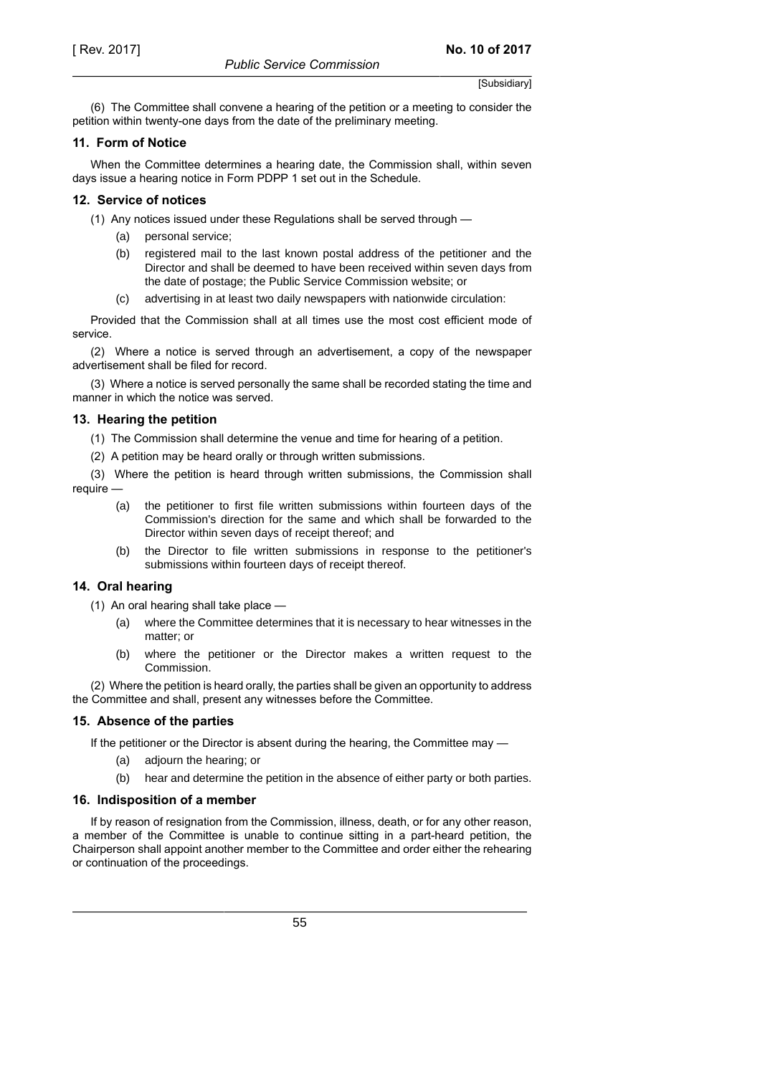(6) The Committee shall convene a hearing of the petition or a meeting to consider the petition within twenty-one days from the date of the preliminary meeting.

### **11. Form of Notice**

When the Committee determines a hearing date, the Commission shall, within seven days issue a hearing notice in Form PDPP 1 set out in the Schedule.

### **12. Service of notices**

(1) Any notices issued under these Regulations shall be served through —

- (a) personal service;
- (b) registered mail to the last known postal address of the petitioner and the Director and shall be deemed to have been received within seven days from the date of postage; the Public Service Commission website; or
- (c) advertising in at least two daily newspapers with nationwide circulation:

Provided that the Commission shall at all times use the most cost efficient mode of service.

(2) Where a notice is served through an advertisement, a copy of the newspaper advertisement shall be filed for record.

(3) Where a notice is served personally the same shall be recorded stating the time and manner in which the notice was served.

### **13. Hearing the petition**

(1) The Commission shall determine the venue and time for hearing of a petition.

(2) A petition may be heard orally or through written submissions.

(3) Where the petition is heard through written submissions, the Commission shall require —

- (a) the petitioner to first file written submissions within fourteen days of the Commission's direction for the same and which shall be forwarded to the Director within seven days of receipt thereof; and
- (b) the Director to file written submissions in response to the petitioner's submissions within fourteen days of receipt thereof.

#### **14. Oral hearing**

(1) An oral hearing shall take place —

- (a) where the Committee determines that it is necessary to hear witnesses in the matter; or
- (b) where the petitioner or the Director makes a written request to the Commission.

(2) Where the petition is heard orally, the parties shall be given an opportunity to address the Committee and shall, present any witnesses before the Committee.

#### **15. Absence of the parties**

If the petitioner or the Director is absent during the hearing, the Committee may —

- (a) adjourn the hearing; or
- (b) hear and determine the petition in the absence of either party or both parties.

#### **16. Indisposition of a member**

If by reason of resignation from the Commission, illness, death, or for any other reason, a member of the Committee is unable to continue sitting in a part-heard petition, the Chairperson shall appoint another member to the Committee and order either the rehearing or continuation of the proceedings.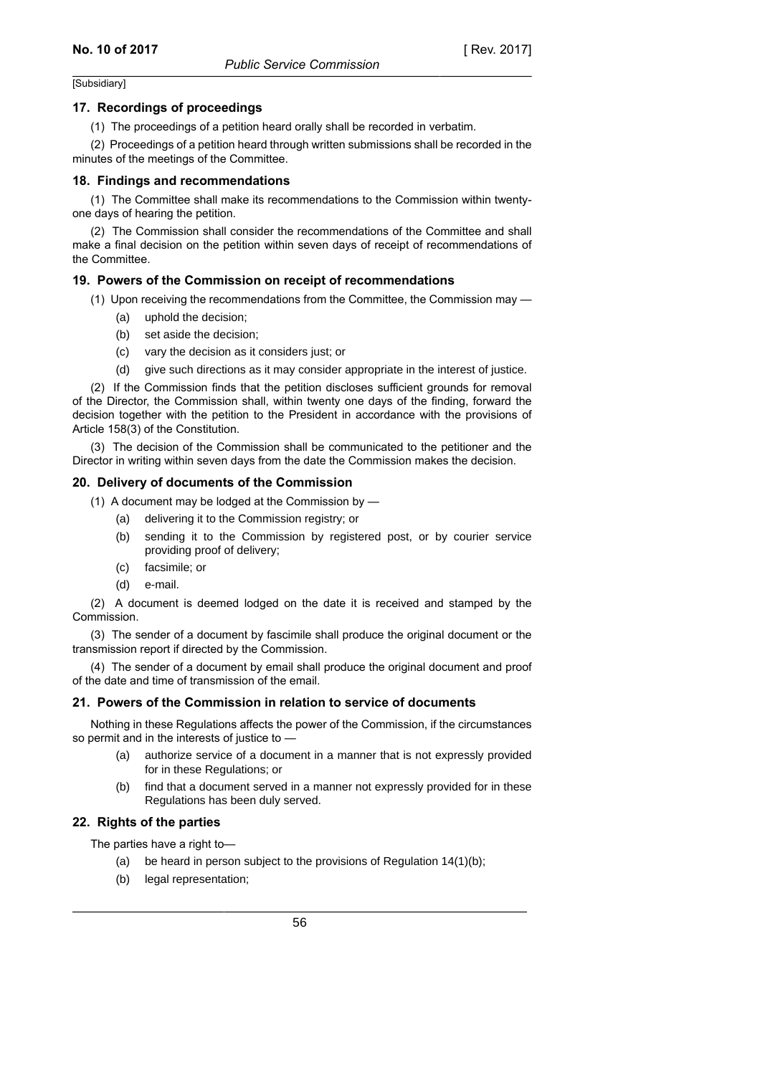### **17. Recordings of proceedings**

(1) The proceedings of a petition heard orally shall be recorded in verbatim.

(2) Proceedings of a petition heard through written submissions shall be recorded in the minutes of the meetings of the Committee.

#### **18. Findings and recommendations**

(1) The Committee shall make its recommendations to the Commission within twentyone days of hearing the petition.

(2) The Commission shall consider the recommendations of the Committee and shall make a final decision on the petition within seven days of receipt of recommendations of the Committee.

#### **19. Powers of the Commission on receipt of recommendations**

- (1) Upon receiving the recommendations from the Committee, the Commission may
	- (a) uphold the decision;
	- (b) set aside the decision;
	- (c) vary the decision as it considers just; or
	- (d) give such directions as it may consider appropriate in the interest of justice.

(2) If the Commission finds that the petition discloses sufficient grounds for removal of the Director, the Commission shall, within twenty one days of the finding, forward the decision together with the petition to the President in accordance with the provisions of Article 158(3) of the Constitution.

(3) The decision of the Commission shall be communicated to the petitioner and the Director in writing within seven days from the date the Commission makes the decision.

#### **20. Delivery of documents of the Commission**

- (1) A document may be lodged at the Commission by
	- (a) delivering it to the Commission registry; or
	- (b) sending it to the Commission by registered post, or by courier service providing proof of delivery;
	- (c) facsimile; or
	- (d) e-mail.

(2) A document is deemed lodged on the date it is received and stamped by the Commission.

(3) The sender of a document by fascimile shall produce the original document or the transmission report if directed by the Commission.

(4) The sender of a document by email shall produce the original document and proof of the date and time of transmission of the email.

#### **21. Powers of the Commission in relation to service of documents**

Nothing in these Regulations affects the power of the Commission, if the circumstances so permit and in the interests of justice to —

- (a) authorize service of a document in a manner that is not expressly provided for in these Regulations; or
- (b) find that a document served in a manner not expressly provided for in these Regulations has been duly served.

#### **22. Rights of the parties**

The parties have a right to—

- (a) be heard in person subject to the provisions of Regulation 14(1)(b);
- (b) legal representation;